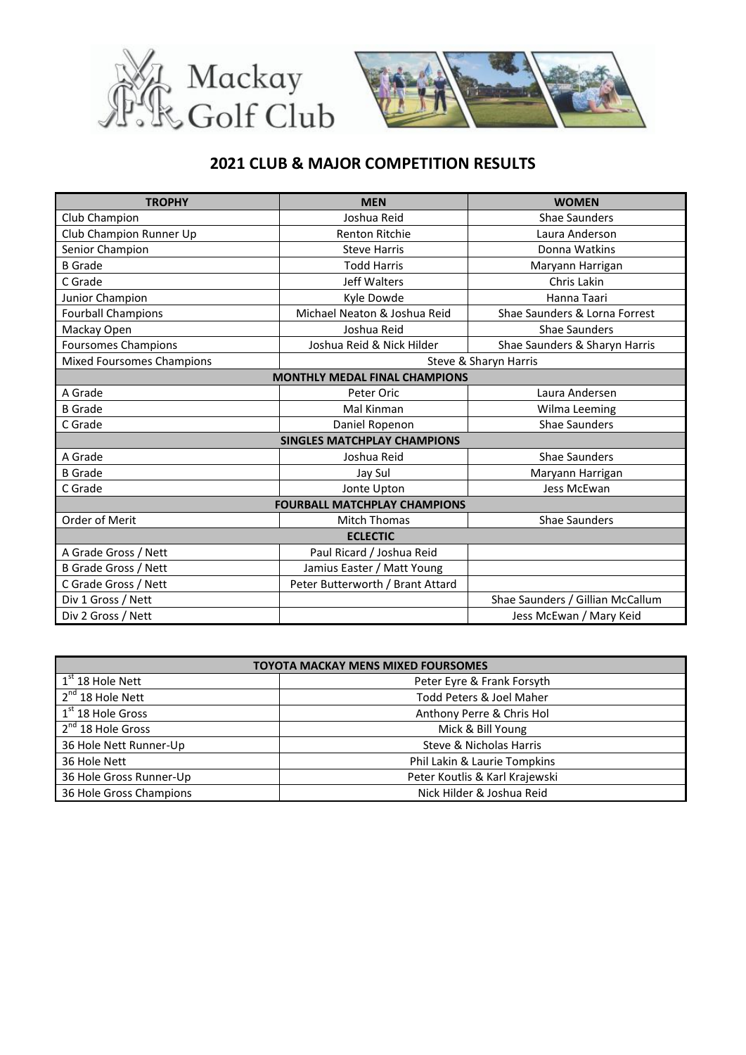



## **2021 CLUB & MAJOR COMPETITION RESULTS**

| <b>TROPHY</b>                        | <b>MEN</b>                       | <b>WOMEN</b>                     |  |
|--------------------------------------|----------------------------------|----------------------------------|--|
| Club Champion                        | Joshua Reid                      | <b>Shae Saunders</b>             |  |
| Club Champion Runner Up              | <b>Renton Ritchie</b>            | Laura Anderson                   |  |
| Senior Champion                      | <b>Steve Harris</b>              | Donna Watkins                    |  |
| <b>B</b> Grade                       | <b>Todd Harris</b>               | Maryann Harrigan                 |  |
| C Grade                              | Jeff Walters                     | Chris Lakin                      |  |
| Junior Champion                      | Kyle Dowde                       | Hanna Taari                      |  |
| <b>Fourball Champions</b>            | Michael Neaton & Joshua Reid     | Shae Saunders & Lorna Forrest    |  |
| Mackay Open                          | Joshua Reid                      | <b>Shae Saunders</b>             |  |
| <b>Foursomes Champions</b>           | Joshua Reid & Nick Hilder        | Shae Saunders & Sharyn Harris    |  |
| Mixed Foursomes Champions            |                                  | Steve & Sharyn Harris            |  |
| <b>MONTHLY MEDAL FINAL CHAMPIONS</b> |                                  |                                  |  |
| A Grade                              | Peter Oric                       | Laura Andersen                   |  |
| <b>B</b> Grade                       | Mal Kinman                       | Wilma Leeming                    |  |
| C Grade                              | Daniel Ropenon                   | <b>Shae Saunders</b>             |  |
| <b>SINGLES MATCHPLAY CHAMPIONS</b>   |                                  |                                  |  |
| A Grade                              | Joshua Reid                      | Shae Saunders                    |  |
| <b>B</b> Grade                       | Jay Sul                          | Maryann Harrigan                 |  |
| C Grade                              | Jonte Upton                      | Jess McEwan                      |  |
| <b>FOURBALL MATCHPLAY CHAMPIONS</b>  |                                  |                                  |  |
| Order of Merit                       | <b>Mitch Thomas</b>              | Shae Saunders                    |  |
| <b>ECLECTIC</b>                      |                                  |                                  |  |
| A Grade Gross / Nett                 | Paul Ricard / Joshua Reid        |                                  |  |
| <b>B Grade Gross / Nett</b>          | Jamius Easter / Matt Young       |                                  |  |
| C Grade Gross / Nett                 | Peter Butterworth / Brant Attard |                                  |  |
| Div 1 Gross / Nett                   |                                  | Shae Saunders / Gillian McCallum |  |
| Div 2 Gross / Nett                   |                                  | Jess McEwan / Mary Keid          |  |

| <b>TOYOTA MACKAY MENS MIXED FOURSOMES</b> |                                |  |
|-------------------------------------------|--------------------------------|--|
| $1st 18$ Hole Nett                        | Peter Eyre & Frank Forsyth     |  |
| $2^{nd}$ 18 Hole Nett                     | Todd Peters & Joel Maher       |  |
| $1st$ 18 Hole Gross                       | Anthony Perre & Chris Hol      |  |
| 2 <sup>nd</sup> 18 Hole Gross             | Mick & Bill Young              |  |
| 36 Hole Nett Runner-Up                    | Steve & Nicholas Harris        |  |
| 36 Hole Nett                              | Phil Lakin & Laurie Tompkins   |  |
| 36 Hole Gross Runner-Up                   | Peter Koutlis & Karl Krajewski |  |
| 36 Hole Gross Champions                   | Nick Hilder & Joshua Reid      |  |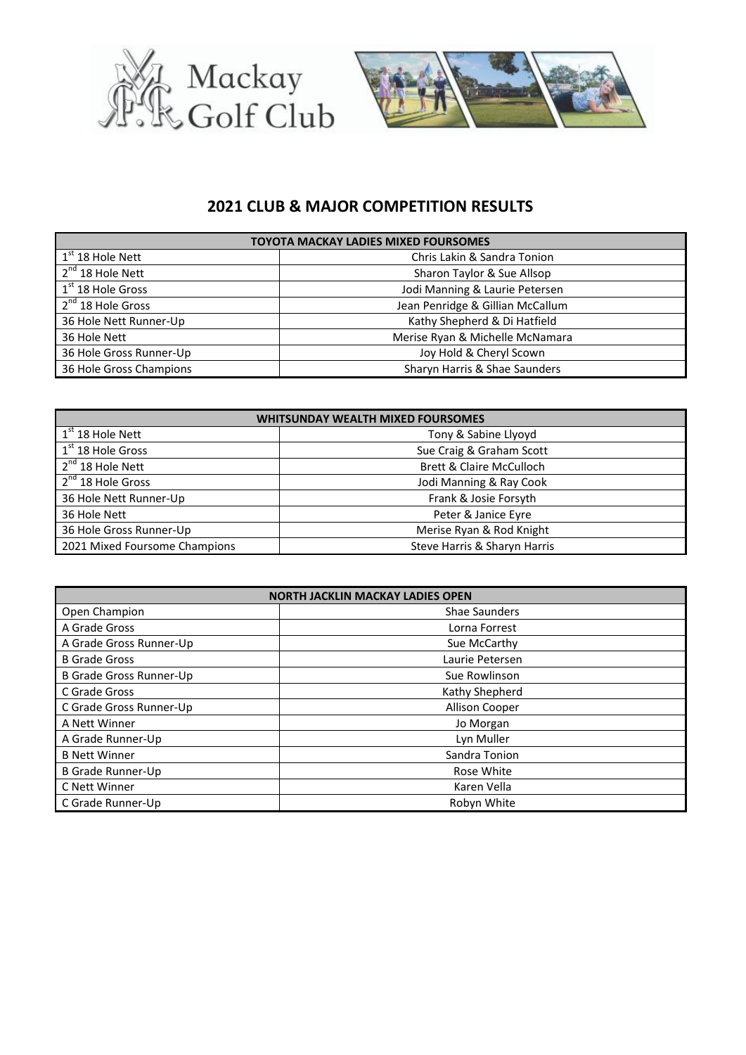



## **2021 CLUB & MAJOR COMPETITION RESULTS**

| <b>TOYOTA MACKAY LADIES MIXED FOURSOMES</b> |                                  |  |
|---------------------------------------------|----------------------------------|--|
| $1st 18$ Hole Nett                          | Chris Lakin & Sandra Tonion      |  |
| $2^{nd}$ 18 Hole Nett                       | Sharon Taylor & Sue Allsop       |  |
| $1st$ 18 Hole Gross                         | Jodi Manning & Laurie Petersen   |  |
| 2 <sup>nd</sup> 18 Hole Gross               | Jean Penridge & Gillian McCallum |  |
| 36 Hole Nett Runner-Up                      | Kathy Shepherd & Di Hatfield     |  |
| 36 Hole Nett                                | Merise Ryan & Michelle McNamara  |  |
| 36 Hole Gross Runner-Up                     | Joy Hold & Cheryl Scown          |  |
| 36 Hole Gross Champions                     | Sharyn Harris & Shae Saunders    |  |

| <b>WHITSUNDAY WEALTH MIXED FOURSOMES</b> |                                     |  |
|------------------------------------------|-------------------------------------|--|
| $1st$ 18 Hole Nett                       | Tony & Sabine Llyoyd                |  |
| $1st$ 18 Hole Gross                      | Sue Craig & Graham Scott            |  |
| $2^{nd}$ 18 Hole Nett                    | <b>Brett &amp; Claire McCulloch</b> |  |
| 2 <sup>nd</sup> 18 Hole Gross            | Jodi Manning & Ray Cook             |  |
| 36 Hole Nett Runner-Up                   | Frank & Josie Forsyth               |  |
| 36 Hole Nett                             | Peter & Janice Eyre                 |  |
| 36 Hole Gross Runner-Up                  | Merise Ryan & Rod Knight            |  |
| 2021 Mixed Foursome Champions            | Steve Harris & Sharyn Harris        |  |

| <b>NORTH JACKLIN MACKAY LADIES OPEN</b> |                      |  |
|-----------------------------------------|----------------------|--|
| Open Champion                           | <b>Shae Saunders</b> |  |
| A Grade Gross                           | Lorna Forrest        |  |
| A Grade Gross Runner-Up                 | Sue McCarthy         |  |
| <b>B</b> Grade Gross                    | Laurie Petersen      |  |
| <b>B Grade Gross Runner-Up</b>          | Sue Rowlinson        |  |
| C Grade Gross                           | Kathy Shepherd       |  |
| C Grade Gross Runner-Up                 | Allison Cooper       |  |
| A Nett Winner                           | Jo Morgan            |  |
| A Grade Runner-Up                       | Lyn Muller           |  |
| <b>B Nett Winner</b>                    | Sandra Tonion        |  |
| <b>B Grade Runner-Up</b>                | Rose White           |  |
| C Nett Winner                           | Karen Vella          |  |
| C Grade Runner-Up                       | Robyn White          |  |